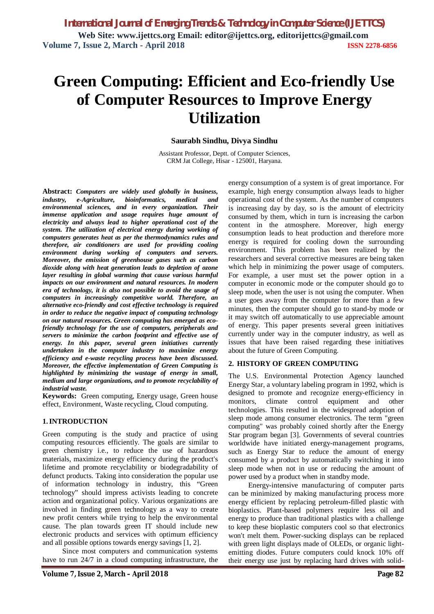# **Green Computing: Efficient and Eco-friendly Use of Computer Resources to Improve Energy Utilization**

# **Saurabh Sindhu, Divya Sindhu**

Assistant Professor, Deptt. of Computer Sciences, CRM Jat College, Hisar - 125001, Haryana.

**Abstract:** *Computers are widely used globally in business, industry, e-Agriculture, bioinformatics, medical and environmental sciences, and in every organization. Their immense application and usage requires huge amount of electricity and always lead to higher operational cost of the system. The utilization of electrical energy during working of computers generates heat as per the thermodynamics rules and therefore, air conditioners are used for providing cooling environment during working of computers and servers. Moreover, the emission of greenhouse gases such as carbon dioxide along with heat generation leads to depletion of ozone layer resulting in global warming that cause various harmful impacts on our environment and natural resources. In modern era of technology, it is also not possible to avoid the usage of computers in increasingly competitive world. Therefore, an alternative eco-friendly and cost effective technology is required in order to reduce the negative impact of computing technology on our natural resources. Green computing has emerged as ecofriendly technology for the use of computers, peripherals and servers to minimize the carbon footprint and effective use of energy. In this paper, several green initiatives currently undertaken in the computer industry to maximize energy efficiency and e-waste recycling process have been discussed. Moreover, the effective implementation of Green Computing is highlighted by minimizing the wastage of energy in small, medium and large organizations, and to promote recyclability of industrial waste.*

**Keywords:** Green computing, Energy usage, Green house effect, Environment, Waste recycling, Cloud computing.

# **1.INTRODUCTION**

Green computing is the study and practice of using computing resources efficiently. The goals are similar to green chemistry i.e., to reduce the use of hazardous materials, maximize energy efficiency during the product's lifetime and promote recyclability or biodegradability of defunct products. Taking into consideration the popular use of information technology in industry, this "Green technology" should impress activists leading to concrete action and organizational policy. Various organizations are involved in finding green technology as a way to create new profit centers while trying to help the environmental cause. The plan towards green IT should include new electronic products and services with optimum efficiency and all possible options towards energy savings [1, 2].

Since most computers and communication systems have to run 24/7 in a cloud computing infrastructure, the energy consumption of a system is of great importance. For example, high energy consumption always leads to higher operational cost of the system. As the number of computers is increasing day by day, so is the amount of electricity consumed by them, which in turn is increasing the carbon content in the atmosphere. Moreover, high energy consumption leads to heat production and therefore more energy is required for cooling down the surrounding environment. This problem has been realized by the researchers and several corrective measures are being taken which help in minimizing the power usage of computers. For example, a user must set the power option in a computer in economic mode or the computer should go to sleep mode, when the user is not using the computer. When a user goes away from the computer for more than a few minutes, then the computer should go to stand-by mode or it may switch off automatically to use appreciable amount of energy. This paper presents several green initiatives currently under way in the computer industry, as well as issues that have been raised regarding these initiatives about the future of Green Computing.

# **2. HISTORY OF GREEN COMPUTING**

The U.S. Environmental Protection Agency launched Energy Star, a voluntary labeling program in 1992, which is designed to promote and recognize energy-efficiency in monitors, climate control equipment and other technologies. This resulted in the widespread adoption of sleep mode among consumer electronics. The term "green computing" was probably coined shortly after the Energy Star program began [3]. Governments of several countries worldwide have initiated energy-management programs, such as Energy Star to reduce the amount of energy consumed by a product by automatically switching it into sleep mode when not in use or reducing the amount of power used by a product when in standby mode.

Energy-intensive manufacturing of computer parts can be minimized by making manufacturing process more energy efficient by replacing petroleum-filled plastic with bioplastics. Plant-based polymers require less oil and energy to produce than traditional plastics with a challenge to keep these bioplastic computers cool so that electronics won't melt them. Power-sucking displays can be replaced with green light displays made of OLEDs, or organic lightemitting diodes. Future computers could knock 10% off their energy use just by replacing hard drives with solid-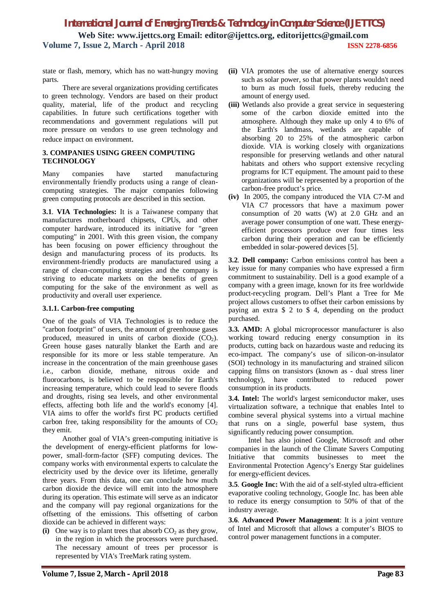state or flash, memory, which has no watt-hungry moving parts.

There are several organizations providing certificates to green technology. Vendors are based on their product quality, material, life of the product and recycling capabilities. In future such certifications together with recommendations and government regulations will put more pressure on vendors to use green technology and reduce impact on environment.

# **3. COMPANIES USING GREEN COMPUTING TECHNOLOGY**

Many companies have started manufacturing environmentally friendly products using a range of cleancomputing strategies. The major companies following green computing protocols are described in this section.

**3.1**. **VIA Technologies:** It is a Taiwanese company that manufactures motherboard chipsets, CPUs, and other computer hardware, introduced its initiative for "green computing" in 2001. With this green vision, the company has been focusing on power efficiency throughout the design and manufacturing process of its products. Its environment-friendly products are manufactured using a range of clean-computing strategies and the company is striving to educate markets on the benefits of green computing for the sake of the environment as well as productivity and overall user experience.

# **3.1.1. Carbon-free computing**

One of the goals of VIA Technologies is to reduce the "carbon footprint" of users, the amount of greenhouse gases produced, measured in units of carbon dioxide  $(CO_2)$ . Green house gases naturally blanket the Earth and are responsible for its more or less stable temperature. An increase in the concentration of the main greenhouse gases i.e., carbon dioxide, methane, nitrous oxide and fluorocarbons, is believed to be responsible for Earth's increasing temperature, which could lead to severe floods and droughts, rising sea levels, and other environmental effects, affecting both life and the world's economy [4]. VIA aims to offer the world's first PC products certified carbon free, taking responsibility for the amounts of  $CO<sub>2</sub>$ they emit.

 Another goal of VIA's green-computing initiative is the development of energy-efficient platforms for lowpower, small-form-factor (SFF) computing devices. The company works with environmental experts to calculate the electricity used by the device over its lifetime, generally three years. From this data, one can conclude how much carbon dioxide the device will emit into the atmosphere during its operation. This estimate will serve as an indicator and the company will pay regional organizations for the offsetting of the emissions. This offsetting of carbon dioxide can be achieved in different ways:

(i) One way is to plant trees that absorb  $CO<sub>2</sub>$  as they grow, in the region in which the processors were purchased. The necessary amount of trees per processor is represented by VIA's TreeMark rating system.

- **(ii)** VIA promotes the use of alternative energy sources such as solar power, so that power plants wouldn't need to burn as much fossil fuels, thereby reducing the amount of energy used.
- **(iii)** Wetlands also provide a great service in sequestering some of the carbon dioxide emitted into the atmosphere. Although they make up only 4 to 6% of the Earth's landmass, wetlands are capable of absorbing 20 to 25% of the atmospheric carbon dioxide. VIA is working closely with organizations responsible for preserving wetlands and other natural habitats and others who support extensive recycling programs for ICT equipment. The amount paid to these organizations will be represented by a proportion of the carbon-free product's price.
- **(iv)** In 2005, the company introduced the VIA C7-M and VIA C7 processors that have a maximum power consumption of 20 watts (W) at 2.0 GHz and an average power consumption of one watt. These energyefficient processors produce over four times less carbon during their operation and can be efficiently embedded in solar-powered devices [5].

**3.2**. **Dell company:** Carbon emissions control has been a key issue for many companies who have expressed a firm commitment to sustainability. Dell is a good example of a company with a green image, known for its free worldwide product-recycling program. Dell's Plant a Tree for Me project allows customers to offset their carbon emissions by paying an extra \$ 2 to \$ 4, depending on the product purchased.

**3.3. AMD:** A global microprocessor manufacturer is also working toward reducing energy consumption in its products, cutting back on hazardous waste and reducing its eco-impact. The company's use of silicon-on-insulator (SOI) technology in its manufacturing and strained silicon capping films on transistors (known as - dual stress liner technology), have contributed to reduced power consumption in its products.

**3.4. Intel:** The world's largest semiconductor maker, uses virtualization software, a technique that enables Intel to combine several physical systems into a virtual machine that runs on a single, powerful base system, thus significantly reducing power consumption.

Intel has also joined Google, Microsoft and other companies in the launch of the Climate Savers Computing Initiative that commits businesses to meet the Environmental Protection Agency's Energy Star guidelines for energy-efficient devices.

**3.5**. **Google Inc:** With the aid of a self-styled ultra-efficient evaporative cooling technology, Google Inc. has been able to reduce its energy consumption to 50% of that of the industry average.

**3.6**. **Advanced Power Management**: It is a joint venture of Intel and Microsoft that allows a computer's BIOS to control power management functions in a computer.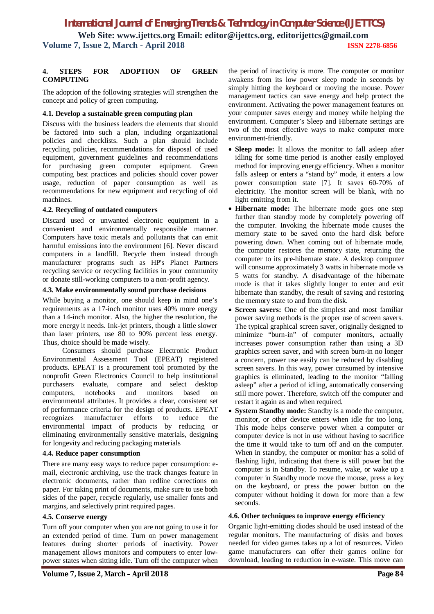# **4. STEPS FOR ADOPTION OF GREEN COMPUTING**

The adoption of the following strategies will strengthen the concept and policy of green computing.

# **4.1. Develop a sustainable green computing plan**

Discuss with the business leaders the elements that should be factored into such a plan, including organizational policies and checklists. Such a plan should include recycling policies, recommendations for disposal of used equipment, government guidelines and recommendations for purchasing green computer equipment. Green computing best practices and policies should cover power usage, reduction of paper consumption as well as recommendations for new equipment and recycling of old machines.

# **4.2**. **Recycling of outdated computers**

Discard used or unwanted electronic equipment in a convenient and environmentally responsible manner. Computers have toxic metals and pollutants that can emit harmful emissions into the environment [6]. Never discard computers in a landfill. Recycle them instead through manufacturer programs such as HP's Planet Partners recycling service or recycling facilities in your community or donate still-working computers to a non-profit agency.

# **4.3. Make environmentally sound purchase decisions**

While buying a monitor, one should keep in mind one's requirements as a 17-inch monitor uses 40% more energy than a 14-inch monitor. Also, the higher the resolution, the more energy it needs. Ink-jet printers, though a little slower than laser printers, use 80 to 90% percent less energy. Thus, choice should be made wisely.

Consumers should purchase Electronic Product Environmental Assessment Tool (EPEAT) registered products. EPEAT is a procurement tool promoted by the nonprofit Green Electronics Council to help institutional purchasers evaluate, compare and select desktop computers, notebooks and monitors based on environmental attributes. It provides a clear, consistent set of performance criteria for the design of products. EPEAT recognizes manufacturer efforts to reduce the environmental impact of products by reducing or eliminating environmentally sensitive materials, designing for longevity and reducing packaging materials

# **4.4. Reduce paper consumption**

There are many easy ways to reduce paper consumption: email, electronic archiving, use the track changes feature in electronic documents, rather than redline corrections on paper. For taking print of documents, make sure to use both sides of the paper, recycle regularly, use smaller fonts and margins, and selectively print required pages.

# **4.5. Conserve energy**

Turn off your computer when you are not going to use it for an extended period of time. Turn on power management features during shorter periods of inactivity. Power management allows monitors and computers to enter lowpower states when sitting idle. Turn off the computer when

the period of inactivity is more. The computer or monitor awakens from its low power sleep mode in seconds by simply hitting the keyboard or moving the mouse. Power management tactics can save energy and help protect the environment. Activating the power management features on your computer saves energy and money while helping the environment. Computer's Sleep and Hibernate settings are two of the most effective ways to make computer more environment-friendly.

- **Sleep mode:** It allows the monitor to fall asleep after idling for some time period is another easily employed method for improving energy efficiency. When a monitor falls asleep or enters a "stand by" mode, it enters a low power consumption state [7]. It saves 60-70% of electricity. The monitor screen will be blank, with no light emitting from it.
- **Hibernate mode:** The hibernate mode goes one step further than standby mode by completely powering off the computer. Invoking the hibernate mode causes the memory state to be saved onto the hard disk before powering down. When coming out of hibernate mode, the computer restores the memory state, returning the computer to its pre-hibernate state. A desktop computer will consume approximately 3 watts in hibernate mode vs 5 watts for standby. A disadvantage of the hibernate mode is that it takes slightly longer to enter and exit hibernate than standby, the result of saving and restoring the memory state to and from the disk.
- **Screen savers:** One of the simplest and most familiar power saving methods is the proper use of screen savers. The typical graphical screen saver, originally designed to minimize "burn-in" of computer monitors, actually increases power consumption rather than using a 3D graphics screen saver, and with screen burn-in no longer a concern, power use easily can be reduced by disabling screen savers. In this way, power consumed by intensive graphics is eliminated, leading to the monitor "falling asleep" after a period of idling, automatically conserving still more power. Therefore, switch off the computer and restart it again as and when required.
- **System Standby mode:** Standby is a mode the computer, monitor, or other device enters when idle for too long. This mode helps conserve power when a computer or computer device is not in use without having to sacrifice the time it would take to turn off and on the computer. When in standby, the computer or monitor has a solid of flashing light, indicating that there is still power but the computer is in Standby. To resume, wake, or wake up a computer in Standby mode move the mouse, press a key on the keyboard, or press the power button on the computer without holding it down for more than a few seconds.

# **4.6. Other techniques to improve energy efficiency**

Organic light-emitting diodes should be used instead of the regular monitors. The manufacturing of disks and boxes needed for video games takes up a lot of resources. Video game manufacturers can offer their games online for download, leading to reduction in e-waste. This move can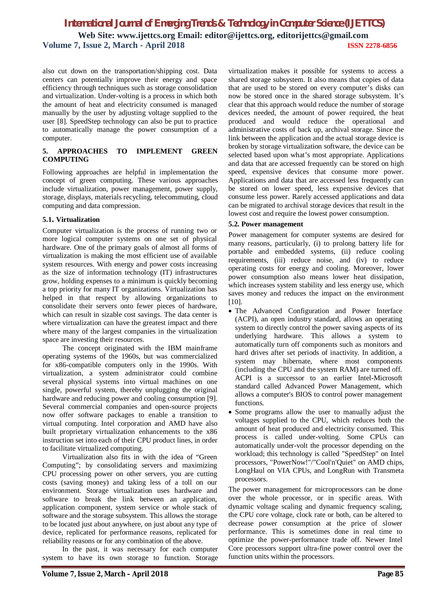also cut down on the transportation/shipping cost. Data centers can potentially improve their energy and space efficiency through techniques such as storage consolidation and virtualization. Under-volting is a process in which both the amount of heat and electricity consumed is managed manually by the user by adjusting voltage supplied to the user [8]. SpeedStep technology can also be put to practice to automatically manage the power consumption of a computer.

# **5. APPROACHES TO IMPLEMENT GREEN COMPUTING**

Following approaches are helpful in implementation the concept of green computing. These various approaches include virtualization, power management, power supply, storage, displays, materials recycling, telecommuting, cloud computing and data compression.

# **5.1. Virtualization**

Computer virtualization is the process of running two or more logical computer systems on one set of physical hardware. One of the primary goals of almost all forms of virtualization is making the most efficient use of available system resources. With energy and power costs increasing as the size of information technology (IT) infrastructures grow, holding expenses to a minimum is quickly becoming a top priority for many IT organizations. Virtualization has helped in that respect by allowing organizations to consolidate their servers onto fewer pieces of hardware, which can result in sizable cost savings. The data center is where virtualization can have the greatest impact and there where many of the largest companies in the virtualization space are investing their resources.

The concept originated with the IBM mainframe operating systems of the 1960s, but was commercialized for x86-compatible computers only in the 1990s. With virtualization, a system administrator could combine several physical systems into virtual machines on one single, powerful system, thereby unplugging the original hardware and reducing power and cooling consumption [9]. Several commercial companies and open-source projects now offer software packages to enable a transition to virtual computing. Intel corporation and AMD have also built proprietary virtualization enhancements to the x86 instruction set into each of their CPU product lines, in order to facilitate virtualized computing.

Virtualization also fits in with the idea of "Green Computing"; by consolidating servers and maximizing CPU processing power on other servers, you are cutting costs (saving money) and taking less of a toll on our environment. Storage virtualization uses hardware and software to break the link between an application, application component, system service or whole stack of software and the storage subsystem. This allows the storage to be located just about anywhere, on just about any type of device, replicated for performance reasons, replicated for reliability reasons or for any combination of the above.

In the past, it was necessary for each computer system to have its own storage to function. Storage

virtualization makes it possible for systems to access a shared storage subsystem. It also means that copies of data that are used to be stored on every computer's disks can now be stored once in the shared storage subsystem. It's clear that this approach would reduce the number of storage devices needed, the amount of power required, the heat produced and would reduce the operational and administrative costs of back up, archival storage. Since the link between the application and the actual storage device is broken by storage virtualization software, the device can be selected based upon what's most appropriate. Applications and data that are accessed frequently can be stored on high speed, expensive devices that consume more power. Applications and data that are accessed less frequently can be stored on lower speed, less expensive devices that consume less power. Rarely accessed applications and data can be migrated to archival storage devices that result in the lowest cost and require the lowest power consumption.

# **5.2. Power management**

Power management for computer systems are desired for many reasons, particularly, (i) to prolong battery life for portable and embedded systems, (ii) reduce cooling requirements, (iii) reduce noise, and (iv) to reduce operating costs for energy and cooling. Moreover, lower power consumption also means lower heat dissipation, which increases system stability and less energy use, which saves money and reduces the impact on the environment [10].

- The Advanced Configuration and Power Interface (ACPI), an open industry standard, allows an operating system to directly control the power saving aspects of its underlying hardware. This allows a system to automatically turn off components such as monitors and hard drives after set periods of inactivity. In addition, a system may hibernate, where most components (including the CPU and the system RAM) are turned off. ACPI is a successor to an earlier Intel-Microsoft standard called Advanced Power Management, which allows a computer's BIOS to control power management functions.
- Some programs allow the user to manually adjust the voltages supplied to the CPU, which reduces both the amount of heat produced and electricity consumed. This process is called under-volting. Some CPUs can automatically under-volt the processor depending on the workload; this technology is called "SpeedStep" on Intel processors, "PowerNow!"/"Cool'n'Quiet" on AMD chips, LongHaul on VIA CPUs, and LongRun with Transmeta processors.

The power management for microprocessors can be done over the whole processor, or in specific areas. With dynamic voltage scaling and dynamic frequency scaling, the CPU core voltage, clock rate or both, can be altered to decrease power consumption at the price of slower performance. This is sometimes done in real time to optimize the power-performance trade off. Newer Intel Core processors support ultra-fine power control over the function units within the processors.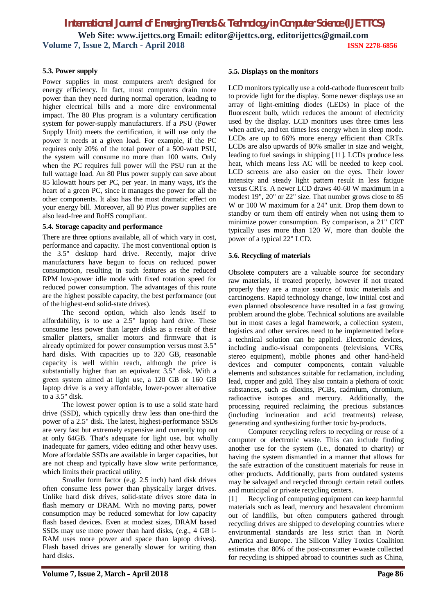# **5.3. Power supply**

Power supplies in most computers aren't designed for energy efficiency. In fact, most computers drain more power than they need during normal operation, leading to higher electrical bills and a more dire environmental impact. The 80 Plus program is a voluntary certification system for power-supply manufacturers. If a PSU (Power Supply Unit) meets the certification, it will use only the power it needs at a given load. For example, if the PC requires only 20% of the total power of a 500-watt PSU, the system will consume no more than 100 watts. Only when the PC requires full power will the PSU run at the full wattage load. An 80 Plus power supply can save about 85 kilowatt hours per PC, per year. In many ways, it's the heart of a green PC, since it manages the power for all the other components. It also has the most dramatic effect on your energy bill. Moreover, all 80 Plus power supplies are also lead-free and RoHS compliant.

#### **5.4. Storage capacity and performance**

There are three options available, all of which vary in cost, performance and capacity. The most conventional option is the 3.5" desktop hard drive. Recently, major drive manufacturers have begun to focus on reduced power consumption, resulting in such features as the reduced RPM low-power idle mode with fixed rotation speed for reduced power consumption. The advantages of this route are the highest possible capacity, the best performance (out of the highest-end solid-state drives).

The second option, which also lends itself to affordability, is to use a 2.5" laptop hard drive. These consume less power than larger disks as a result of their smaller platters, smaller motors and firmware that is already optimized for power consumption versus most 3.5" hard disks. With capacities up to 320 GB, reasonable capacity is well within reach, although the price is substantially higher than an equivalent 3.5" disk. With a green system aimed at light use, a 120 GB or 160 GB laptop drive is a very affordable, lower-power alternative to a  $3.5$ " disk.

The lowest power option is to use a solid state hard drive (SSD), which typically draw less than one-third the power of a 2.5" disk. The latest, highest-performance SSDs are very fast but extremely expensive and currently top out at only 64GB. That's adequate for light use, but wholly inadequate for gamers, video editing and other heavy uses. More affordable SSDs are available in larger capacities, but are not cheap and typically have slow write performance, which limits their practical utility.

Smaller form factor (e.g. 2.5 inch) hard disk drives often consume less power than physically larger drives. Unlike hard disk drives, solid-state drives store data in flash memory or DRAM. With no moving parts, power consumption may be reduced somewhat for low capacity flash based devices. Even at modest sizes, DRAM based SSDs may use more power than hard disks, (e.g., 4 GB i-RAM uses more power and space than laptop drives). Flash based drives are generally slower for writing than hard disks.

#### **5.5. Displays on the monitors**

LCD monitors typically use a cold-cathode fluorescent bulb to provide light for the display. Some newer displays use an array of light-emitting diodes (LEDs) in place of the fluorescent bulb, which reduces the amount of electricity used by the display. LCD monitors uses three times less when active, and ten times less energy when in sleep mode. LCDs are up to 66% more energy efficient than CRTs. LCDs are also upwards of 80% smaller in size and weight, leading to fuel savings in shipping [11]. LCDs produce less heat, which means less AC will be needed to keep cool. LCD screens are also easier on the eyes. Their lower intensity and steady light pattern result in less fatigue versus CRTs. A newer LCD draws 40-60 W maximum in a modest 19", 20" or 22" size. That number grows close to 85 W or 100 W maximum for a 24" unit. Drop them down to standby or turn them off entirely when not using them to minimize power consumption. By comparison, a 21" CRT typically uses more than 120 W, more than double the power of a typical 22" LCD.

# **5.6. Recycling of materials**

Obsolete computers are a valuable source for secondary raw materials, if treated properly, however if not treated properly they are a major source of toxic materials and carcinogens. Rapid technology change, low initial cost and even planned obsolescence have resulted in a fast growing problem around the globe. Technical solutions are available but in most cases a legal framework, a collection system, logistics and other services need to be implemented before a technical solution can be applied. Electronic devices, including audio-visual components (televisions, VCRs, stereo equipment), mobile phones and other hand-held devices and computer components, contain valuable elements and substances suitable for reclamation, including lead, copper and gold. They also contain a plethora of toxic substances, such as dioxins, PCBs, cadmium, chromium, radioactive isotopes and mercury. Additionally, the processing required reclaiming the precious substances (including incineration and acid treatments) release, generating and synthesizing further toxic by-products.

Computer recycling refers to recycling or reuse of a computer or electronic waste. This can include finding another use for the system (i.e., donated to charity) or having the system dismantled in a manner that allows for the safe extraction of the constituent materials for reuse in other products. Additionally, parts from outdated systems may be salvaged and recycled through certain retail outlets and municipal or private recycling centers.

[1] Recycling of computing equipment can keep harmful materials such as lead, mercury and hexavalent chromium out of landfills, but often computers gathered through recycling drives are shipped to developing countries where environmental standards are less strict than in North America and Europe. The Silicon Valley Toxics Coalition estimates that 80% of the post-consumer e-waste collected for recycling is shipped abroad to countries such as China,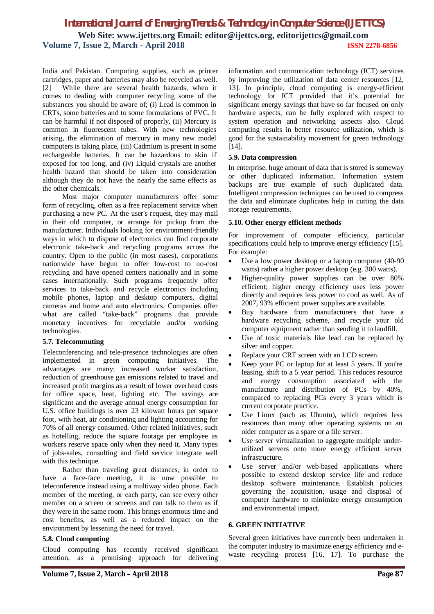India and Pakistan. Computing supplies, such as printer cartridges, paper and batteries may also be recycled as well. [2] While there are several health hazards, when it comes to dealing with computer recycling some of the substances you should be aware of; (i) Lead is common in CRTs, some batteries and to some formulations of PVC. It can be harmful if not disposed of properly, (ii) Mercury is common in fluorescent tubes. With new technologies arising, the elimination of mercury in many new model computers is taking place, (iii) Cadmium is present in some rechargeable batteries. It can be hazardous to skin if exposed for too long, and (iv) Liquid crystals are another health hazard that should be taken into consideration although they do not have the nearly the same effects as the other chemicals.

Most major computer manufacturers offer some form of recycling, often as a free replacement service when purchasing a new PC. At the user's request, they may mail in their old computer, or arrange for pickup from the manufacturer. Individuals looking for environment-friendly ways in which to dispose of electronics can find corporate electronic take-back and recycling programs across the country. Open to the public (in most cases), corporations nationwide have begun to offer low-cost to no-cost recycling and have opened centers nationally and in some cases internationally. Such programs frequently offer services to take-back and recycle electronics including mobile phones, laptop and desktop computers, digital cameras and home and auto electronics. Companies offer what are called "take-back" programs that provide monetary incentives for recyclable and/or working technologies.

# **5.7. Telecommuting**

Teleconferencing and tele-presence technologies are often implemented in green computing initiatives. The advantages are many; increased worker satisfaction, reduction of greenhouse gas emissions related to travel and increased profit margins as a result of lower overhead costs for office space, heat, lighting etc. The savings are significant and the average annual energy consumption for U.S. office buildings is over 23 kilowatt hours per square foot, with heat, air conditioning and lighting accounting for 70% of all energy consumed. Other related initiatives, such as hotelling, reduce the square footage per employee as workers reserve space only when they need it. Many types of jobs-sales, consulting and field service integrate well with this technique.

Rather than traveling great distances, in order to have a face-face meeting, it is now possible to teleconference instead using a multiway video phone. Each member of the meeting, or each party, can see every other member on a screen or screens and can talk to them as if they were in the same room. This brings enormous time and cost benefits, as well as a reduced impact on the environment by lessening the need for travel.

# **5.8. Cloud computing**

Cloud computing has recently received significant attention, as a promising approach for delivering

information and communication technology (ICT) services by improving the utilization of data center resources [12, 13]. In principle, cloud computing is energy-efficient technology for ICT provided that it's potential for significant energy savings that have so far focused on only hardware aspects, can be fully explored with respect to system operation and networking aspects also. Cloud computing results in better resource utilization, which is good for the sustainability movement for green technology [14].

# **5.9. Data compression**

In enterprise, huge amount of data that is stored is someway or other duplicated information. Information system backups are true example of such duplicated data. Intelligent compression techniques can be used to compress the data and eliminate duplicates help in cutting the data storage requirements.

#### **5.10. Other energy efficient methods**

For improvement of computer efficiency, particular specifications could help to improve energy efficiency [15]. For example:

- Use a low power desktop or a laptop computer (40-90 watts) rather a higher power desktop (e.g. 300 watts).
- Higher-quality power supplies can be over 80% efficient; higher energy efficiency uses less power directly and requires less power to cool as well. As of 2007, 93% efficient power supplies are available.
- Buy hardware from manufacturers that have a hardware recycling scheme, and recycle your old computer equipment rather than sending it to landfill.
- Use of toxic materials like lead can be replaced by silver and copper.
- Replace your CRT screen with an LCD screen.
- Keep your PC or laptop for at least 5 years. If you're leasing, shift to a 5 year period. This reduces resource and energy consumption associated with the manufacture and distribution of PCs by 40%, compared to replacing PCs every 3 years which is current corporate practice.
- Use Linux (such as Ubuntu), which requires less resources than many other operating systems on an older computer as a spare or a file server.
- Use server virtualization to aggregate multiple underutilized servers onto more energy efficient server infrastructure.
- Use server and/or web-based applications where possible to extend desktop service life and reduce desktop software maintenance. Establish policies governing the acquisition, usage and disposal of computer hardware to minimize energy consumption and environmental impact.

# **6. GREEN INITIATIVE**

Several green initiatives have currently been undertaken in the computer industry to maximize energy efficiency and ewaste recycling process [16, 17]. To purchase the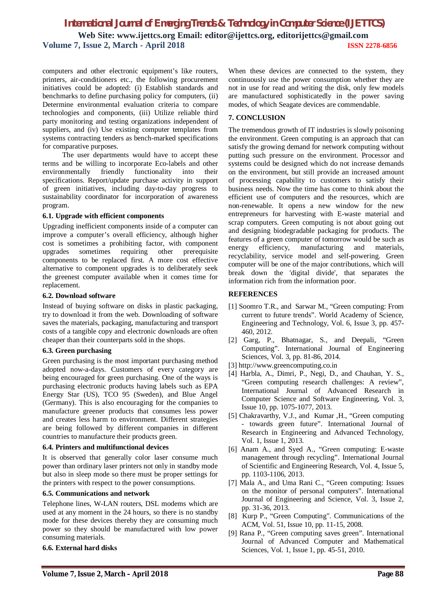computers and other electronic equipment's like routers, printers, air-conditioners etc., the following procurement initiatives could be adopted: (i) Establish standards and benchmarks to define purchasing policy for computers, (ii) Determine environmental evaluation criteria to compare technologies and components, (iii) Utilize reliable third party monitoring and testing organizations independent of suppliers, and (iv) Use existing computer templates from systems contracting tenders as bench-marked specifications for comparative purposes.

The user departments would have to accept these terms and be willing to incorporate Eco-labels and other environmentally friendly functionality into their specifications. Report/update purchase activity in support of green initiatives, including day-to-day progress to sustainability coordinator for incorporation of awareness program.

#### **6.1. Upgrade with efficient components**

Upgrading inefficient components inside of a computer can improve a computer's overall efficiency, although higher cost is sometimes a prohibiting factor, with component upgrades sometimes requiring other prerequisite components to be replaced first. A more cost effective alternative to component upgrades is to deliberately seek the greenest computer available when it comes time for replacement.

#### **6.2. Download software**

Instead of buying software on disks in plastic packaging, try to download it from the web. Downloading of software saves the materials, packaging, manufacturing and transport costs of a tangible copy and electronic downloads are often cheaper than their counterparts sold in the shops.

# **6.3. Green purchasing**

Green purchasing is the most important purchasing method adopted now-a-days. Customers of every category are being encouraged for green purchasing. One of the ways is purchasing electronic products having labels such as EPA Energy Star (US), TCO 95 (Sweden), and Blue Angel (Germany). This is also encouraging for the companies to manufacture greener products that consumes less power and creates less harm to environment. Different strategies are being followed by different companies in different countries to manufacture their products green.

# **6.4. Printers and multifunctional devices**

It is observed that generally color laser consume much power than ordinary laser printers not only in standby mode but also in sleep mode so there must be proper settings for the printers with respect to the power consumptions.

# **6.5. Communications and network**

Telephone lines, W-LAN routers, DSL modems which are used at any moment in the 24 hours, so there is no standby mode for these devices thereby they are consuming much power so they should be manufactured with low power consuming materials.

# **6.6. External hard disks**

When these devices are connected to the system, they continuously use the power consumption whether they are not in use for read and writing the disk, only few models are manufactured sophisticatedly in the power saving modes, of which Seagate devices are commendable.

# **7. CONCLUSION**

The tremendous growth of IT industries is slowly poisoning the environment. Green computing is an approach that can satisfy the growing demand for network computing without putting such pressure on the environment. Processor and systems could be designed which do not increase demands on the environment, but still provide an increased amount of processing capability to customers to satisfy their business needs. Now the time has come to think about the efficient use of computers and the resources, which are non-renewable. It opens a new window for the new entrepreneurs for harvesting with E-waste material and scrap computers. Green computing is not about going out and designing biodegradable packaging for products. The features of a green computer of tomorrow would be such as energy efficiency, manufacturing and materials, recyclability, service model and self-powering. Green computer will be one of the major contributions, which will break down the 'digital divide', that separates the information rich from the information poor.

# **REFERENCES**

- [1] Soomro T.R., and Sarwar M., "Green computing: From current to future trends". World Academy of Science, Engineering and Technology, Vol. 6, Issue 3, pp. 457- 460, 2012.
- [2] Garg, P., Bhatnagar, S., and Deepali, "Green Computing". International Journal of Engineering Sciences, Vol. 3, pp. 81-86, 2014.
- [3] http://www.greencomputing.co.in
- [4] Harbla, A., Dimri, P., Negi, D., and Chauhan, Y. S., "Green computing research challenges: A review", International Journal of Advanced Research in Computer Science and Software Engineering, Vol. 3, Issue 10, pp. 1075-1077, 2013.
- [5] Chakravarthy, V.J., and Kumar ,H., "Green computing - towards green future". International Journal of Research in Engineering and Advanced Technology, Vol. 1, Issue 1, 2013.
- [6] Anam A., and Syed A., "Green computing: E-waste management through recycling". International Journal of Scientific and Engineering Research, Vol. 4, Issue 5, pp. 1103-1106, 2013.
- [7] Mala A., and Uma Rani C., "Green computing: Issues on the monitor of personal computers". International Journal of Engineering and Science, Vol. 3, Issue 2, pp. 31-36, 2013.
- [8] Kurp P., "Green Computing". Communications of the ACM, Vol. 51, Issue 10, pp. 11-15, 2008.
- [9] Rana P., "Green computing saves green". International Journal of Advanced Computer and Mathematical Sciences, Vol. 1, Issue 1, pp. 45-51, 2010.